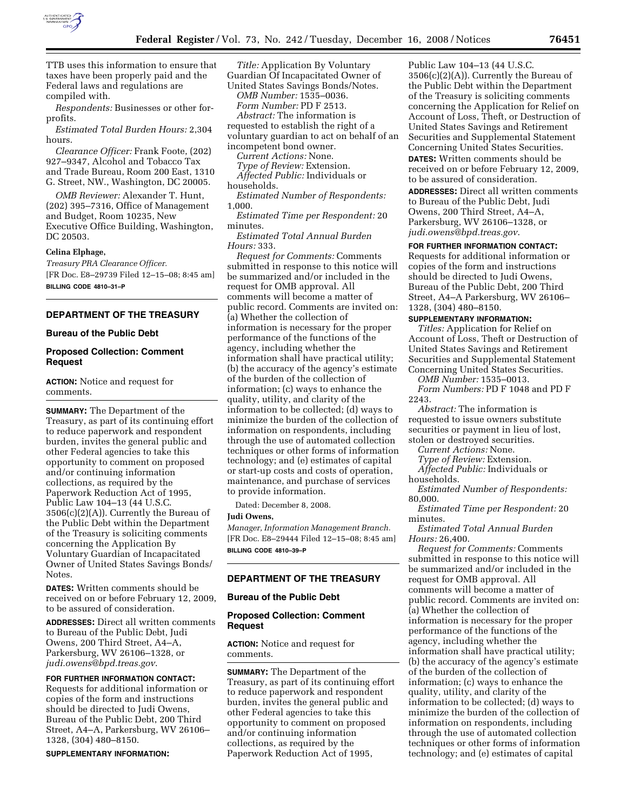

TTB uses this information to ensure that taxes have been properly paid and the Federal laws and regulations are compiled with.

*Respondents:* Businesses or other forprofits.

*Estimated Total Burden Hours:* 2,304 hours.

*Clearance Officer:* Frank Foote, (202) 927–9347, Alcohol and Tobacco Tax and Trade Bureau, Room 200 East, 1310 G. Street, NW., Washington, DC 20005.

*OMB Reviewer:* Alexander T. Hunt, (202) 395–7316, Office of Management and Budget, Room 10235, New Executive Office Building, Washington, DC 20503.

# **Celina Elphage,**

*Treasury PRA Clearance Officer.*  [FR Doc. E8–29739 Filed 12–15–08; 8:45 am] **BILLING CODE 4810–31–P** 

# **DEPARTMENT OF THE TREASURY**

### **Bureau of the Public Debt**

# **Proposed Collection: Comment Request**

**ACTION:** Notice and request for comments.

**SUMMARY:** The Department of the Treasury, as part of its continuing effort to reduce paperwork and respondent burden, invites the general public and other Federal agencies to take this opportunity to comment on proposed and/or continuing information collections, as required by the Paperwork Reduction Act of 1995, Public Law 104–13 (44 U.S.C. 3506(c)(2)(A)). Currently the Bureau of the Public Debt within the Department of the Treasury is soliciting comments concerning the Application By Voluntary Guardian of Incapacitated Owner of United States Savings Bonds/ Notes.

**DATES:** Written comments should be received on or before February 12, 2009, to be assured of consideration.

**ADDRESSES:** Direct all written comments to Bureau of the Public Debt, Judi Owens, 200 Third Street, A4–A, Parkersburg, WV 26106–1328, or *judi.owens@bpd.treas.gov*.

## **FOR FURTHER INFORMATION CONTACT:**

Requests for additional information or copies of the form and instructions should be directed to Judi Owens, Bureau of the Public Debt, 200 Third Street, A4–A, Parkersburg, WV 26106– 1328, (304) 480–8150.

**SUPPLEMENTARY INFORMATION:** 

*Title:* Application By Voluntary Guardian Of Incapacitated Owner of United States Savings Bonds/Notes.

*OMB Number:* 1535–0036. *Form Number:* PD F 2513.

*Abstract:* The information is requested to establish the right of a voluntary guardian to act on behalf of an

incompetent bond owner.

*Current Actions:* None.

*Type of Review:* Extension. *Affected Public:* Individuals or

households.

*Estimated Number of Respondents:*  1,000.

*Estimated Time per Respondent:* 20 minutes.

*Estimated Total Annual Burden Hours:* 333.

*Request for Comments:* Comments submitted in response to this notice will be summarized and/or included in the request for OMB approval. All comments will become a matter of public record. Comments are invited on: (a) Whether the collection of information is necessary for the proper performance of the functions of the agency, including whether the information shall have practical utility; (b) the accuracy of the agency's estimate of the burden of the collection of information; (c) ways to enhance the quality, utility, and clarity of the information to be collected; (d) ways to minimize the burden of the collection of information on respondents, including through the use of automated collection techniques or other forms of information technology; and (e) estimates of capital or start-up costs and costs of operation, maintenance, and purchase of services to provide information.

Dated: December 8, 2008.

## **Judi Owens,**

*Manager, Information Management Branch.*  [FR Doc. E8–29444 Filed 12–15–08; 8:45 am] **BILLING CODE 4810–39–P** 

# **DEPARTMENT OF THE TREASURY**

### **Bureau of the Public Debt**

# **Proposed Collection: Comment Request**

**ACTION:** Notice and request for comments.

**SUMMARY:** The Department of the Treasury, as part of its continuing effort to reduce paperwork and respondent burden, invites the general public and other Federal agencies to take this opportunity to comment on proposed and/or continuing information collections, as required by the Paperwork Reduction Act of 1995,

Public Law 104–13 (44 U.S.C. 3506(c)(2)(A)). Currently the Bureau of the Public Debt within the Department of the Treasury is soliciting comments concerning the Application for Relief on Account of Loss, Theft, or Destruction of United States Savings and Retirement Securities and Supplemental Statement Concerning United States Securities. **DATES:** Written comments should be

received on or before February 12, 2009, to be assured of consideration.

**ADDRESSES:** Direct all written comments to Bureau of the Public Debt, Judi Owens, 200 Third Street, A4–A, Parkersburg, WV 26106–1328, or *judi.owens@bpd.treas.gov*.

#### **FOR FURTHER INFORMATION CONTACT:**

Requests for additional information or copies of the form and instructions should be directed to Judi Owens, Bureau of the Public Debt, 200 Third Street, A4–A Parkersburg, WV 26106– 1328, (304) 480–8150.

#### **SUPPLEMENTARY INFORMATION:**

*Titles:* Application for Relief on Account of Loss, Theft or Destruction of United States Savings and Retirement Securities and Supplemental Statement Concerning United States Securities.

*OMB Number:* 1535–0013.

*Form Numbers:* PD F 1048 and PD F 2243.

*Abstract:* The information is requested to issue owners substitute securities or payment in lieu of lost, stolen or destroyed securities.

*Current Actions:* None.

*Type of Review:* Extension.

*Affected Public:* Individuals or

households.

*Estimated Number of Respondents:*  80,000.

*Estimated Time per Respondent:* 20 minutes.

*Estimated Total Annual Burden Hours:* 26,400.

*Request for Comments:* Comments submitted in response to this notice will be summarized and/or included in the request for OMB approval. All comments will become a matter of public record. Comments are invited on: (a) Whether the collection of information is necessary for the proper performance of the functions of the agency, including whether the information shall have practical utility; (b) the accuracy of the agency's estimate of the burden of the collection of information; (c) ways to enhance the quality, utility, and clarity of the information to be collected; (d) ways to minimize the burden of the collection of information on respondents, including through the use of automated collection techniques or other forms of information technology; and (e) estimates of capital